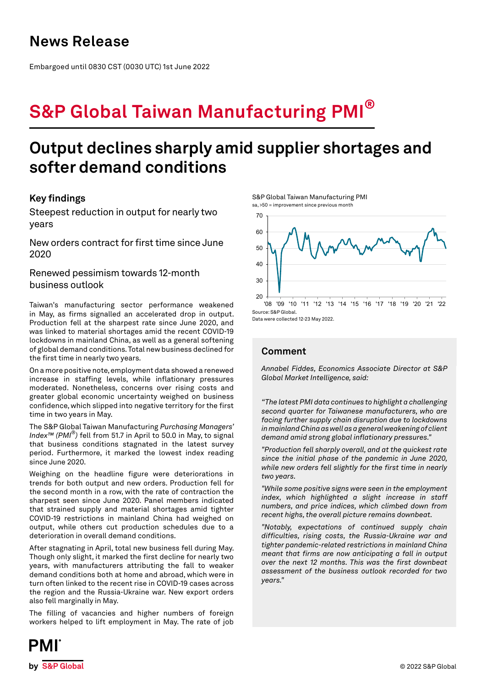## **News Release**

Embargoed until 0830 CST (0030 UTC) 1st June 2022

# **S&P Global Taiwan Manufacturing PMI®**

## **Output declines sharply amid supplier shortages and softer demand conditions**

## **Key findings**

Steepest reduction in output for nearly two years

New orders contract for first time since June 2020

Renewed pessimism towards 12-month business outlook

Taiwan's manufacturing sector performance weakened in May, as firms signalled an accelerated drop in output. Production fell at the sharpest rate since June 2020, and was linked to material shortages amid the recent COVID-19 lockdowns in mainland China, as well as a general softening of global demand conditions. Total new business declined for the first time in nearly two years.

On a more positive note, employment data showed a renewed increase in staffing levels, while inflationary pressures moderated. Nonetheless, concerns over rising costs and greater global economic uncertainty weighed on business confidence, which slipped into negative territory for the first time in two years in May.

The S&P Global Taiwan Manufacturing *Purchasing Managers' Index™ (PMI®)* fell from 51.7 in April to 50.0 in May, to signal that business conditions stagnated in the latest survey period. Furthermore, it marked the lowest index reading since June 2020.

Weighing on the headline figure were deteriorations in trends for both output and new orders. Production fell for the second month in a row, with the rate of contraction the sharpest seen since June 2020. Panel members indicated that strained supply and material shortages amid tighter COVID-19 restrictions in mainland China had weighed on output, while others cut production schedules due to a deterioration in overall demand conditions.

After stagnating in April, total new business fell during May. Though only slight, it marked the first decline for nearly two years, with manufacturers attributing the fall to weaker demand conditions both at home and abroad, which were in turn often linked to the recent rise in COVID-19 cases across the region and the Russia-Ukraine war. New export orders also fell marginally in May.

The filling of vacancies and higher numbers of foreign workers helped to lift employment in May. The rate of job

S&P Global Taiwan Manufacturing PMI sa, >50 = improvement since previous month



Data were collected 12-23 May 2022.

## **Comment**

*Annabel Fiddes, Economics Associate Director at S&P Global Market Intelligence, said:* 

*"The latest PMI data continues to highlight a challenging second quarter for Taiwanese manufacturers, who are facing further supply chain disruption due to lockdowns in mainland China as well as a general weakening of client demand amid strong global inflationary pressures."*

*"Production fell sharply overall, and at the quickest rate since the initial phase of the pandemic in June 2020, while new orders fell slightly for the first time in nearly two years.* 

*"While some positive signs were seen in the employment index, which highlighted a slight increase in staff numbers, and price indices, which climbed down from recent highs, the overall picture remains downbeat.*

*"Notably, expectations of continued supply chain difficulties, rising costs, the Russia-Ukraine war and tighter pandemic-related restrictions in mainland China meant that firms are now anticipating a fall in output over the next 12 months. This was the first downbeat assessment of the business outlook recorded for two years."*